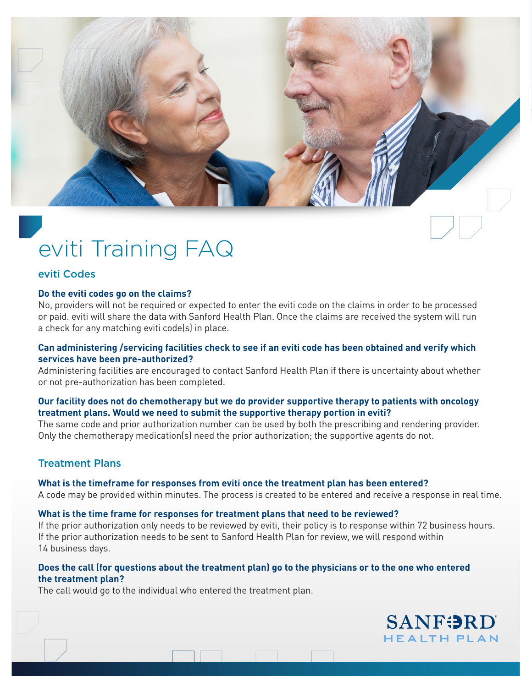# eviti Training FAQ

#### eviti Codes

#### **Do the eviti codes go on the claims?**

No, providers will not be required or expected to enter the eviti code on the claims in order to be processed or paid. eviti will share the data with Sanford Health Plan. Once the claims are received the system will run a check for any matching eviti code(s) in place.

#### **Can administering /servicing facilities check to see if an eviti code has been obtained and verify which services have been pre-authorized?**

Administering facilities are encouraged to contact Sanford Health Plan if there is uncertainty about whether or not pre-authorization has been completed.

#### **Our facility does not do chemotherapy but we do provider supportive therapy to patients with oncology treatment plans. Would we need to submit the supportive therapy portion in eviti?**

The same code and prior authorization number can be used by both the prescribing and rendering provider. Only the chemotherapy medication(s) need the prior authorization; the supportive agents do not.

#### Treatment Plans

#### **What is the timeframe for responses from eviti once the treatment plan has been entered?**

A code may be provided within minutes. The process is created to be entered and receive a response in real time.

# **What is the time frame for responses for treatment plans that need to be reviewed?**

If the prior authorization only needs to be reviewed by eviti, their policy is to response within 72 business hours. If the prior authorization needs to be sent to Sanford Health Plan for review, we will respond within 14 business days.

#### **Does the call (for questions about the treatment plan) go to the physicians or to the one who entered the treatment plan?**

The call would go to the individual who entered the treatment plan.

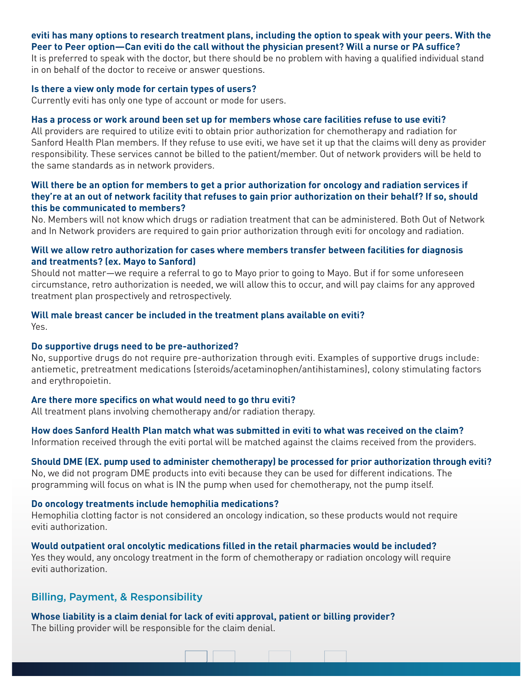# **eviti has many options to research treatment plans, including the option to speak with your peers. With the Peer to Peer option—Can eviti do the call without the physician present? Will a nurse or PA suffice?**

It is preferred to speak with the doctor, but there should be no problem with having a qualified individual stand in on behalf of the doctor to receive or answer questions.

#### **Is there a view only mode for certain types of users?**

Currently eviti has only one type of account or mode for users.

#### **Has a process or work around been set up for members whose care facilities refuse to use eviti?**

All providers are required to utilize eviti to obtain prior authorization for chemotherapy and radiation for Sanford Health Plan members. If they refuse to use eviti, we have set it up that the claims will deny as provider responsibility. These services cannot be billed to the patient/member. Out of network providers will be held to the same standards as in network providers.

#### **Will there be an option for members to get a prior authorization for oncology and radiation services if they're at an out of network facility that refuses to gain prior authorization on their behalf? If so, should this be communicated to members?**

No. Members will not know which drugs or radiation treatment that can be administered. Both Out of Network and In Network providers are required to gain prior authorization through eviti for oncology and radiation.

#### **Will we allow retro authorization for cases where members transfer between facilities for diagnosis and treatments? (ex. Mayo to Sanford)**

Should not matter—we require a referral to go to Mayo prior to going to Mayo. But if for some unforeseen circumstance, retro authorization is needed, we will allow this to occur, and will pay claims for any approved treatment plan prospectively and retrospectively.

#### **Will male breast cancer be included in the treatment plans available on eviti?**  Yes.

#### **Do supportive drugs need to be pre-authorized?**

No, supportive drugs do not require pre-authorization through eviti. Examples of supportive drugs include: antiemetic, pretreatment medications (steroids/acetaminophen/antihistamines), colony stimulating factors and erythropoietin.

#### **Are there more specifics on what would need to go thru eviti?**

All treatment plans involving chemotherapy and/or radiation therapy.

**How does Sanford Health Plan match what was submitted in eviti to what was received on the claim?**  Information received through the eviti portal will be matched against the claims received from the providers.

#### **Should DME (EX. pump used to administer chemotherapy) be processed for prior authorization through eviti?**

<u> 1999 - Jan James Barnett, fransk politiker</u>

No, we did not program DME products into eviti because they can be used for different indications. The programming will focus on what is IN the pump when used for chemotherapy, not the pump itself.

#### **Do oncology treatments include hemophilia medications?**

Hemophilia clotting factor is not considered an oncology indication, so these products would not require eviti authorization.

#### **Would outpatient oral oncolytic medications filled in the retail pharmacies would be included?**  Yes they would, any oncology treatment in the form of chemotherapy or radiation oncology will require eviti authorization.

# Billing, Payment, & Responsibility

# **Whose liability is a claim denial for lack of eviti approval, patient or billing provider?**

The billing provider will be responsible for the claim denial.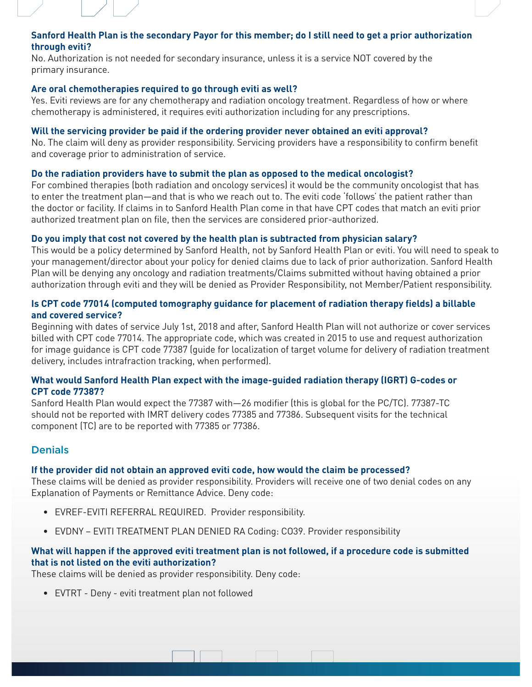# **Sanford Health Plan is the secondary Payor for this member; do I still need to get a prior authorization through eviti?**

No. Authorization is not needed for secondary insurance, unless it is a service NOT covered by the primary insurance.

#### **Are oral chemotherapies required to go through eviti as well?**

Yes. Eviti reviews are for any chemotherapy and radiation oncology treatment. Regardless of how or where chemotherapy is administered, it requires eviti authorization including for any prescriptions.

#### **Will the servicing provider be paid if the ordering provider never obtained an eviti approval?**

No. The claim will deny as provider responsibility. Servicing providers have a responsibility to confirm benefit and coverage prior to administration of service.

#### **Do the radiation providers have to submit the plan as opposed to the medical oncologist?**

For combined therapies (both radiation and oncology services) it would be the community oncologist that has to enter the treatment plan—and that is who we reach out to. The eviti code 'follows' the patient rather than the doctor or facility. If claims in to Sanford Health Plan come in that have CPT codes that match an eviti prior authorized treatment plan on file, then the services are considered prior-authorized.

#### **Do you imply that cost not covered by the health plan is subtracted from physician salary?**

This would be a policy determined by Sanford Health, not by Sanford Health Plan or eviti. You will need to speak to your management/director about your policy for denied claims due to lack of prior authorization. Sanford Health Plan will be denying any oncology and radiation treatments/Claims submitted without having obtained a prior authorization through eviti and they will be denied as Provider Responsibility, not Member/Patient responsibility.

#### **Is CPT code 77014 (computed tomography guidance for placement of radiation therapy fields) a billable and covered service?**

Beginning with dates of service July 1st, 2018 and after, Sanford Health Plan will not authorize or cover services billed with CPT code 77014. The appropriate code, which was created in 2015 to use and request authorization for image guidance is CPT code 77387 (guide for localization of target volume for delivery of radiation treatment delivery, includes intrafraction tracking, when performed).

#### **What would Sanford Health Plan expect with the image-guided radiation therapy (IGRT) G-codes or CPT code 77387?**

Sanford Health Plan would expect the 77387 with—26 modifier (this is global for the PC/TC). 77387-TC should not be reported with IMRT delivery codes 77385 and 77386. Subsequent visits for the technical component (TC) are to be reported with 77385 or 77386.

# **Denials**

#### **If the provider did not obtain an approved eviti code, how would the claim be processed?**

These claims will be denied as provider responsibility. Providers will receive one of two denial codes on any Explanation of Payments or Remittance Advice. Deny code:

- EVREF-EVITI REFERRAL REQUIRED. Provider responsibility.
- EVDNY EVITI TREATMENT PLAN DENIED RA Coding: CO39. Provider responsibility

# **What will happen if the approved eviti treatment plan is not followed, if a procedure code is submitted that is not listed on the eviti authorization?**

These claims will be denied as provider responsibility. Deny code:

• EVTRT - Deny - eviti treatment plan not followed